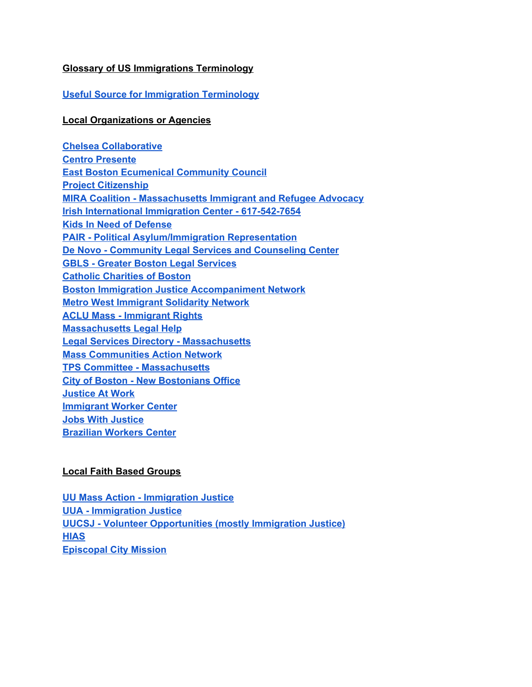# **Glossary of US Immigrations Terminology**

## **Useful Source for Immigration [Terminology](https://www.freedomforimmigrants.org/terminology)**

#### **Local Organizations or Agencies**

**Chelsea [Collaborative](https://www.chelseacollab.org/) Centro [Presente](https://cpresente.org/) East Boston [Ecumenical](https://ebecc.org/) Community Council Project [Citizenship](https://projectcitizenship.org/) MIRA Coalition - [Massachusetts](https://miracoalition.org/) Immigrant and Refugee Advocacy Irish International Immigration Center - [617-542-7654](http://www.iiicenter.org/) Kids In Need of [Defense](https://supportkind.org/) PAIR - Political [Asylum/Immigration](https://www.pairproject.org/) Representation De Novo - [Community](https://www.denovo.org/) Legal Services and Counseling Center GBLS - Greater Boston Legal [Services](https://www.gbls.org/) Catholic [Charities](https://www.ccab.org/) of Boston Boston Immigration Justice [Accompaniment](https://beyondbondboston.org/) Network Metro West [Immigrant](http://www.mwc-casa.org/home-and-news/metrowest-immigrant-solidarity-network-statement) Solidarity Network ACLU Mass - [Immigrant](https://www.aclum.org/en/issues/immigrants-rights) Rights [Massachusetts](https://www.masslegalhelp.org/immigration) Legal Help Legal Services Directory - [Massachusetts](https://www.immigrationadvocates.org/nonprofit/legaldirectory/search?state=MA) Mass [Communities](https://www.mcan.us/) Action Network TPS Committee - [Massachusetts](https://masstps.com/) City of Boston - New [Bostonians](https://www.boston.gov/departments/immigrant-advancement) Office [Justice](https://jatwork.org/) At Work [Immigrant](http://www.masscosh.org/what-we-do/initiatives/immigrant-worker-center) Worker Center Jobs With [Justice](https://www.massjwj.net/) [Brazilian](https://www.braziliancenter.org/) Workers Center**

# **Local Faith Based Groups**

**UU Mass Action - [Immigration](https://www.uumassaction.org/immigrant-justice/) Justice UUA - [Immigration](https://www.uua.org/immigration) Justice UUCSJ - Volunteer [Opportunities](https://uucsj.org/volunteer/) (mostly Immigration Justice) [HIAS](https://www.hias.org/) [Episcopal](https://www.episcopalcitymission.org/how-to-donate) City Mission**